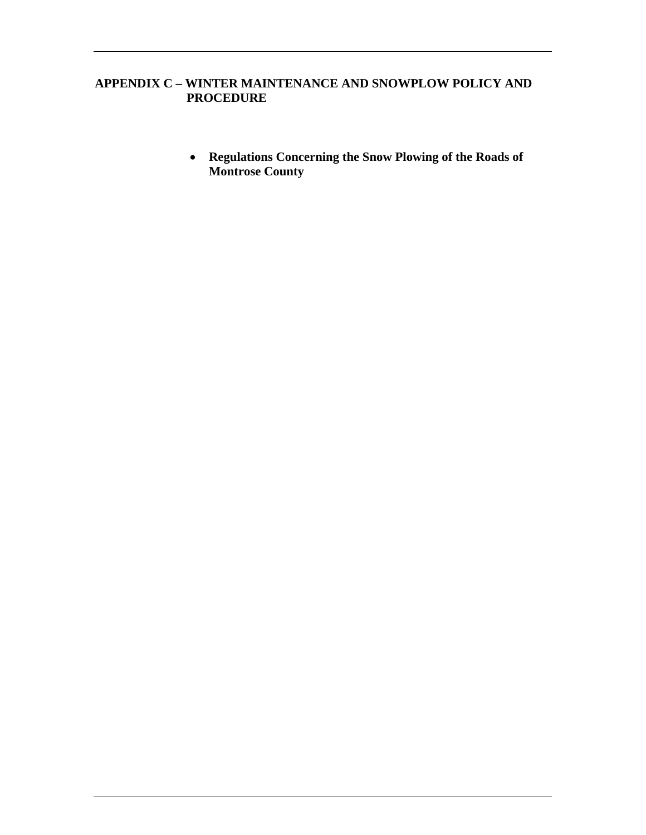## **APPENDIX C – WINTER MAINTENANCE AND SNOWPLOW POLICY AND PROCEDURE**

• **Regulations Concerning the Snow Plowing of the Roads of Montrose County**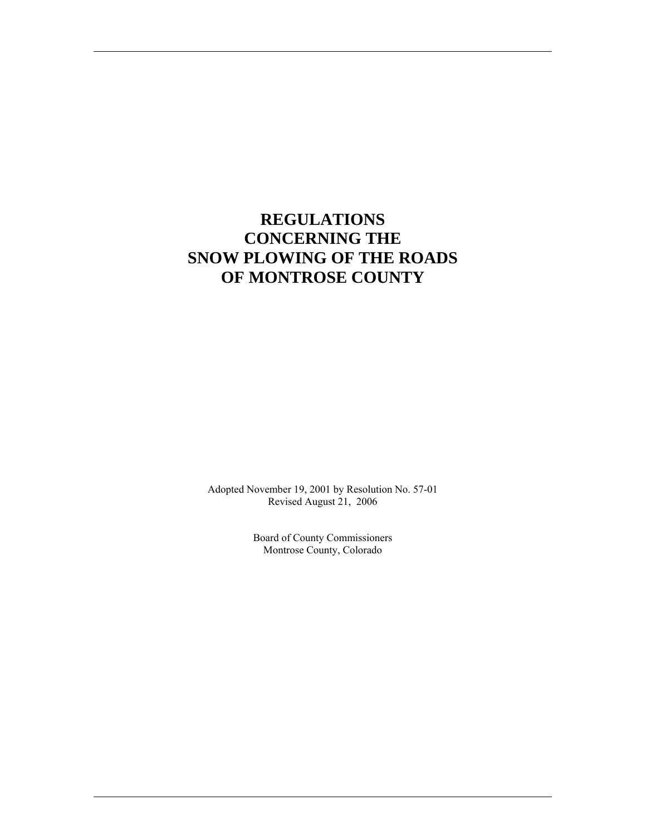# **REGULATIONS CONCERNING THE SNOW PLOWING OF THE ROADS OF MONTROSE COUNTY**

Adopted November 19, 2001 by Resolution No. 57-01 Revised August 21, 2006

> Board of County Commissioners Montrose County, Colorado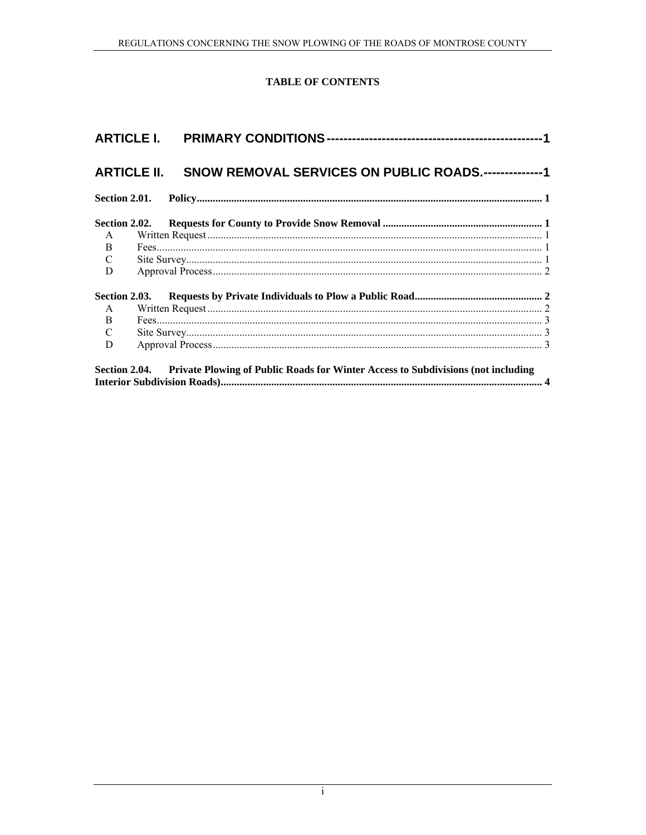## **TABLE OF CONTENTS**

|               | ARTICLE II. SNOW REMOVAL SERVICES ON PUBLIC ROADS.--------------1 |  |
|---------------|-------------------------------------------------------------------|--|
| Section 2.01. |                                                                   |  |
|               |                                                                   |  |
|               |                                                                   |  |
|               |                                                                   |  |
|               |                                                                   |  |
|               |                                                                   |  |
| Section 2.03. |                                                                   |  |
|               |                                                                   |  |
|               |                                                                   |  |
|               |                                                                   |  |
|               |                                                                   |  |
|               |                                                                   |  |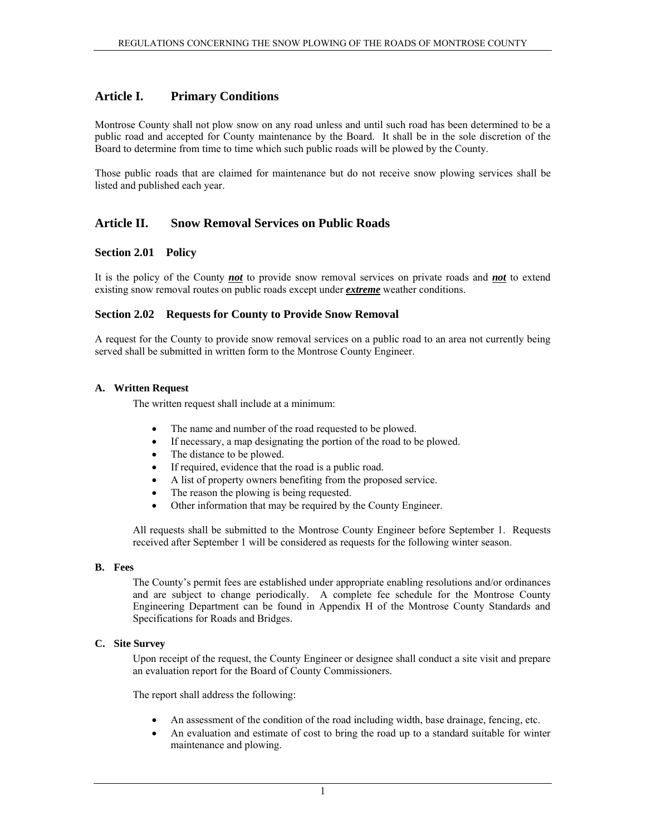## <span id="page-4-0"></span>**Article I. Primary Conditions**

Montrose County shall not plow snow on any road unless and until such road has been determined to be a public road and accepted for County maintenance by the Board. It shall be in the sole discretion of the Board to determine from time to time which such public roads will be plowed by the County.

Those public roads that are claimed for maintenance but do not receive snow plowing services shall be listed and published each year.

### **Article II. Snow Removal Services on Public Roads**

#### **Section 2.01 Policy**

It is the policy of the County *not* to provide snow removal services on private roads and *not* to extend existing snow removal routes on public roads except under *extreme* weather conditions.

#### **Section 2.02 Requests for County to Provide Snow Removal**

A request for the County to provide snow removal services on a public road to an area not currently being served shall be submitted in written form to the Montrose County Engineer.

#### **A. Written Request**

The written request shall include at a minimum:

- The name and number of the road requested to be plowed.
- If necessary, a map designating the portion of the road to be plowed.
- The distance to be plowed.
- If required, evidence that the road is a public road.
- A list of property owners benefiting from the proposed service.
- The reason the plowing is being requested.
- Other information that may be required by the County Engineer.

All requests shall be submitted to the Montrose County Engineer before September 1. Requests received after September 1 will be considered as requests for the following winter season.

#### **B. Fees**

The County's permit fees are established under appropriate enabling resolutions and/or ordinances and are subject to change periodically. A complete fee schedule for the Montrose County Engineering Department can be found in Appendix H of the Montrose County Standards and Specifications for Roads and Bridges.

#### **C. Site Survey**

Upon receipt of the request, the County Engineer or designee shall conduct a site visit and prepare an evaluation report for the Board of County Commissioners.

The report shall address the following:

- An assessment of the condition of the road including width, base drainage, fencing, etc.
- An evaluation and estimate of cost to bring the road up to a standard suitable for winter maintenance and plowing.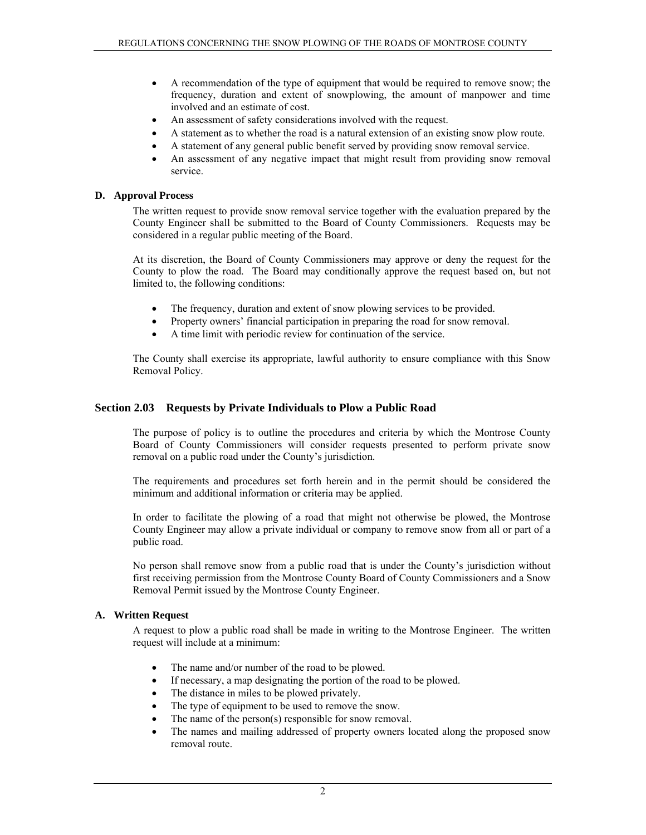- <span id="page-5-0"></span>• A recommendation of the type of equipment that would be required to remove snow; the frequency, duration and extent of snowplowing, the amount of manpower and time involved and an estimate of cost.
- An assessment of safety considerations involved with the request.
- A statement as to whether the road is a natural extension of an existing snow plow route.
- A statement of any general public benefit served by providing snow removal service.
- An assessment of any negative impact that might result from providing snow removal service.

#### **D. Approval Process**

The written request to provide snow removal service together with the evaluation prepared by the County Engineer shall be submitted to the Board of County Commissioners. Requests may be considered in a regular public meeting of the Board.

At its discretion, the Board of County Commissioners may approve or deny the request for the County to plow the road. The Board may conditionally approve the request based on, but not limited to, the following conditions:

- The frequency, duration and extent of snow plowing services to be provided.
- Property owners' financial participation in preparing the road for snow removal.
- A time limit with periodic review for continuation of the service.

The County shall exercise its appropriate, lawful authority to ensure compliance with this Snow Removal Policy.

#### **Section 2.03 Requests by Private Individuals to Plow a Public Road**

The purpose of policy is to outline the procedures and criteria by which the Montrose County Board of County Commissioners will consider requests presented to perform private snow removal on a public road under the County's jurisdiction.

The requirements and procedures set forth herein and in the permit should be considered the minimum and additional information or criteria may be applied.

In order to facilitate the plowing of a road that might not otherwise be plowed, the Montrose County Engineer may allow a private individual or company to remove snow from all or part of a public road.

No person shall remove snow from a public road that is under the County's jurisdiction without first receiving permission from the Montrose County Board of County Commissioners and a Snow Removal Permit issued by the Montrose County Engineer.

#### **A. Written Request**

A request to plow a public road shall be made in writing to the Montrose Engineer. The written request will include at a minimum:

- The name and/or number of the road to be plowed.
- If necessary, a map designating the portion of the road to be plowed.
- The distance in miles to be plowed privately.
- The type of equipment to be used to remove the snow.
- The name of the person(s) responsible for snow removal.
- The names and mailing addressed of property owners located along the proposed snow removal route.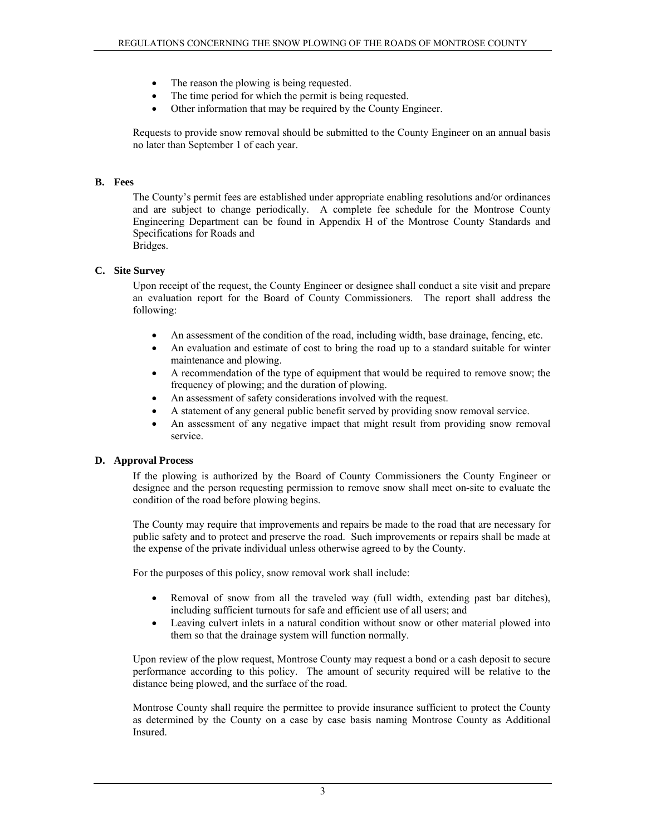- <span id="page-6-0"></span>The reason the plowing is being requested.
- The time period for which the permit is being requested.
- Other information that may be required by the County Engineer.

Requests to provide snow removal should be submitted to the County Engineer on an annual basis no later than September 1 of each year.

#### **B. Fees**

The County's permit fees are established under appropriate enabling resolutions and/or ordinances and are subject to change periodically. A complete fee schedule for the Montrose County Engineering Department can be found in Appendix H of the Montrose County Standards and Specifications for Roads and Bridges.

#### **C. Site Survey**

Upon receipt of the request, the County Engineer or designee shall conduct a site visit and prepare an evaluation report for the Board of County Commissioners. The report shall address the following:

- An assessment of the condition of the road, including width, base drainage, fencing, etc.
- An evaluation and estimate of cost to bring the road up to a standard suitable for winter maintenance and plowing.
- A recommendation of the type of equipment that would be required to remove snow; the frequency of plowing; and the duration of plowing.
- An assessment of safety considerations involved with the request.
- A statement of any general public benefit served by providing snow removal service.
- An assessment of any negative impact that might result from providing snow removal service.

#### **D. Approval Process**

If the plowing is authorized by the Board of County Commissioners the County Engineer or designee and the person requesting permission to remove snow shall meet on-site to evaluate the condition of the road before plowing begins.

The County may require that improvements and repairs be made to the road that are necessary for public safety and to protect and preserve the road. Such improvements or repairs shall be made at the expense of the private individual unless otherwise agreed to by the County.

For the purposes of this policy, snow removal work shall include:

- Removal of snow from all the traveled way (full width, extending past bar ditches), including sufficient turnouts for safe and efficient use of all users; and
- Leaving culvert inlets in a natural condition without snow or other material plowed into them so that the drainage system will function normally.

Upon review of the plow request, Montrose County may request a bond or a cash deposit to secure performance according to this policy. The amount of security required will be relative to the distance being plowed, and the surface of the road.

Montrose County shall require the permittee to provide insurance sufficient to protect the County as determined by the County on a case by case basis naming Montrose County as Additional Insured.